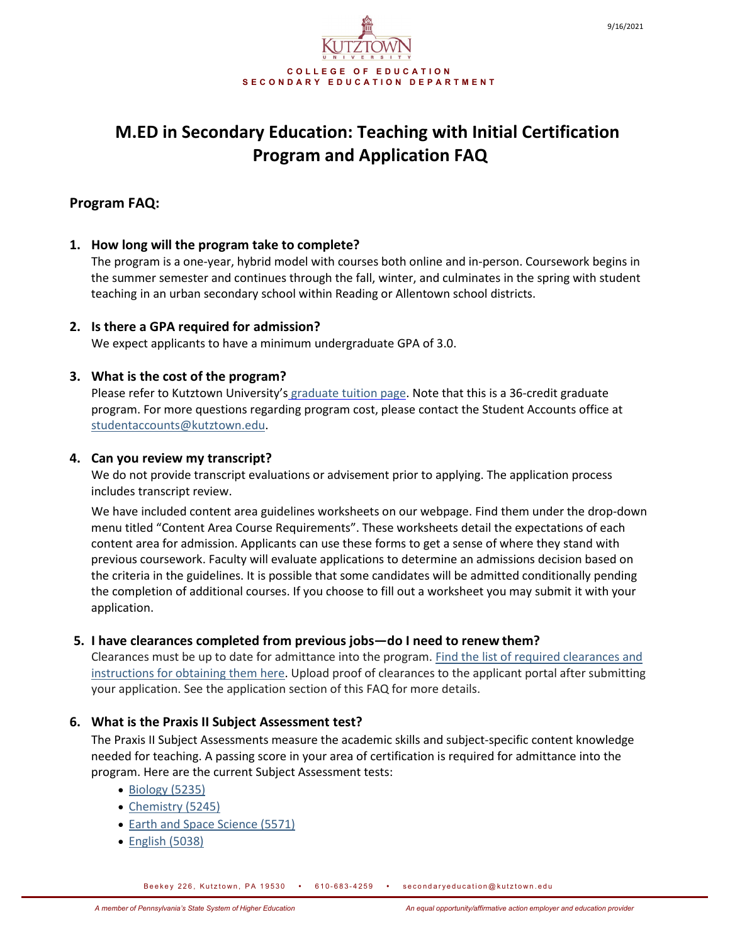

# **Program FAQ:**

#### **1. How long will the program take to complete?**

The program is a one-year, hybrid model with courses both online and in-person. Coursework begins in the summer semester and continues through the fall, winter, and culminates in the spring with student teaching in an urban secondary school within Reading or Allentown school districts.

#### **2. Is there a GPA required for admission?**

We expect applicants to have a minimum undergraduate GPA of 3.0.

## **3. What is the cost of the program?**

Please refer to Kutztown University's [graduate tuition page.](https://www.kutztown.edu/affordability/tuition-and-fees-(graduate).html) Note that this is a 36-credit graduate program. For more questions regarding program cost, please contact the Student Accounts office at [studentaccounts@kutztown.edu.](mailto:studentaccounts@kutztown.edu)

#### **4. Can you review my transcript?**

We do not provide transcript evaluations or advisement prior to applying. The application process includes transcript review.

We have included content area guidelines worksheets on our webpage. Find them under the drop-down menu titled "Content Area Course Requirements". These worksheets detail the expectations of each content area for admission. Applicants can use these forms to get a sense of where they stand with previous coursework. Faculty will evaluate applications to determine an admissions decision based on the criteria in the guidelines. It is possible that some candidates will be admitted conditionally pending the completion of additional courses. If you choose to fill out a worksheet you may submit it with your application.

#### **5. I have clearances completed from previous jobs—do I need to renew them?**

Clearances must be up to date for admittance into the program. [Find the list of required clearances and](https://www.kutztown.edu/Departments-Offices/S-Z/SecondaryEducation/Documents/M.Ed%20Initial%20Cert%20Docs/Initial%20Cert%20Clearance%20Instructions.pdf)  [instructions for obtaining them here.](https://www.kutztown.edu/Departments-Offices/S-Z/SecondaryEducation/Documents/M.Ed%20Initial%20Cert%20Docs/Initial%20Cert%20Clearance%20Instructions.pdf) Upload proof of clearances to the applicant portal after submitting your application. See the application section of this FAQ for more details.

#### **6. What is the Praxis II Subject Assessment test?**

The Praxis II Subject Assessments measure the academic skills and subject-specific content knowledge needed for teaching. A passing score in your area of certification is required for admittance into the program. Here are the current Subject Assessment tests:

- [Biology \(5235\)](https://www.ets.org/praxis/prepare/materials/5183)
- [Chemistry \(5245\)](https://www.kutztown.edu/Departments-Offices/S-Z/SecondaryEducation/Documents/1M.Ed%20timeline%202021-22.pdf)
- [Earth and Space Science \(5571\)](mailto:khish@kutztown.edu)
- [English \(5038\)](https://www.kutztown.edu/affordability/tuition-and-fees-(graduate).html)

Beekey 226, Kutztown, PA 19530 . 610-683-4259 . secondaryeducation@kutztown.edu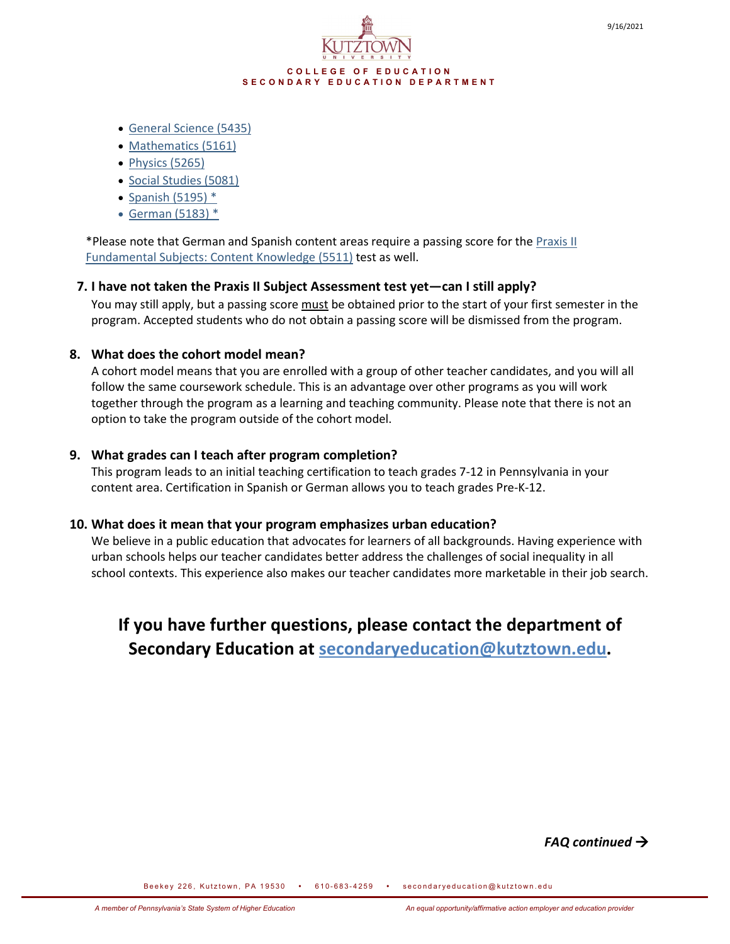

- General [Science \(5435\)](https://www.education.pa.gov/Educators/Certification/PAEducators/Pages/LevelItoLevelII.aspx)
- [Mathematics \(5161\)](mailto:gradteach@kutztown.edu)
- [Physics \(5265\)](https://www.ets.org/praxis/prepare/materials/5245)
- [Social Studies \(5081\)](https://www.ets.org/praxis/prepare/materials/5571)
- [Spanish \(5195\) \\*](https://www.kutztown.edu/academics/colleges-and-departments/education/departments/secondary-education/teaching-certification.html)
- [German \(5183\) \\*](https://www.ets.org/praxis/prepare/materials/5161)

\*Please note that German and Spanish content areas require a passing score for the Praxis II [Fundamental Subjects: Content Knowledge \(5511\)](https://www.ets.org/praxis/prepare/materials/5511) test as well.

## **7. I have not taken the Praxis II Subject Assessment test yet—can I still apply?**

You may still apply, but a passing score must be obtained prior to the start of your first semester in the program. Accepted students who do not obtain a passing score will be dismissed from the program.

## **8. What does the cohort model mean?**

A cohort model means that you are enrolled with a group of other teacher candidates, and you will all follow the same coursework schedule. This is an advantage over other programs as you will work together through the program as a learning and teaching community. Please note that there is not an option to take the program outside of the cohort model.

## **9. What grades can I teach after program completion?**

This program leads to an initial teaching certification to teach grades 7-12 in Pennsylvania in your content area. Certification in Spanish or German allows you to teach grades Pre-K-12.

#### **10. What does it mean that your program emphasizes urban education?**

We believe in a public education that advocates for learners of all backgrounds. Having experience with urban schools helps our teacher candidates better address the challenges of social inequality in all school contexts. This experience also makes our teacher candidates more marketable in their job search.

# **If you have further questions, please contact the department of Secondary Education at [secondaryeducation@kutztown.edu.](mailto:secondaryeducation@kutztown.edu)**

*FAQ continued*

Beekey 226, Kutztown, PA 19530 • 610-683-4259 • secondaryeducation@kutztown.edu